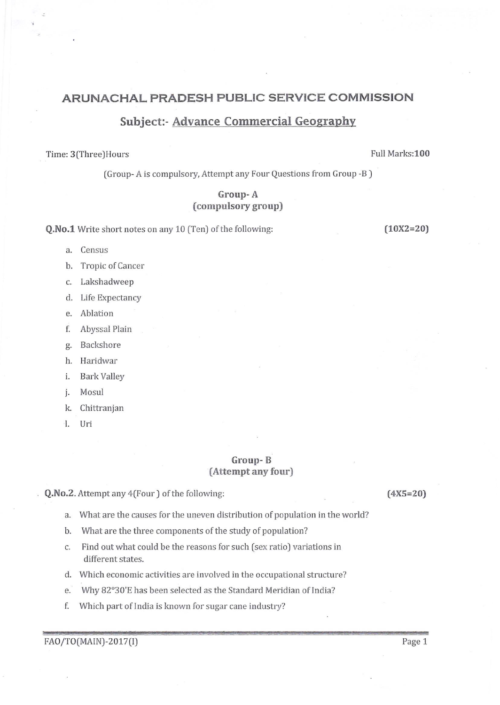# ARUNACHAL PRADESH PUBLIC SERVICE COMMISSION

# Subject:- Advance Commercial Geography

### Time: 3(Three)Hours **Full Marks:100**

[Group- A is compulsory, Attempt any Four Questions from Group -B )

## Group- A (compulsory group)

Q.No.1 Write short notes on any 10 (Ten) of the following: (10X2=20)

- a. Census
- b. Tropic of Cancer
- c. Lakshadweep
- d. Life Expectancy
- e. Ablation
- f. Abyssal Plain
- g. Backshore
- h. Haridwar
- i. Bark Valley
- i. Mosul
- k. Chittranian
- l. Uri

### Group- B (Attempt any four)

Q.No.2. Attempt any 4(Four) of the following: (4X5=20)

- a. What are the causes for the uneven distribution of population in the world?
- b. What are the three components of the study of population?
- c. Find out what could be the reasons for such (sex ratio] variations in different states.
- d. Which economic activities are involved in the occupational structure?
- e. Why 82"30'E has been selected as the Standard Meridian of India?
- f. Which part of India is known for sugar cane industry?

FAO/TO(MAIN)-2017(I) Page 1